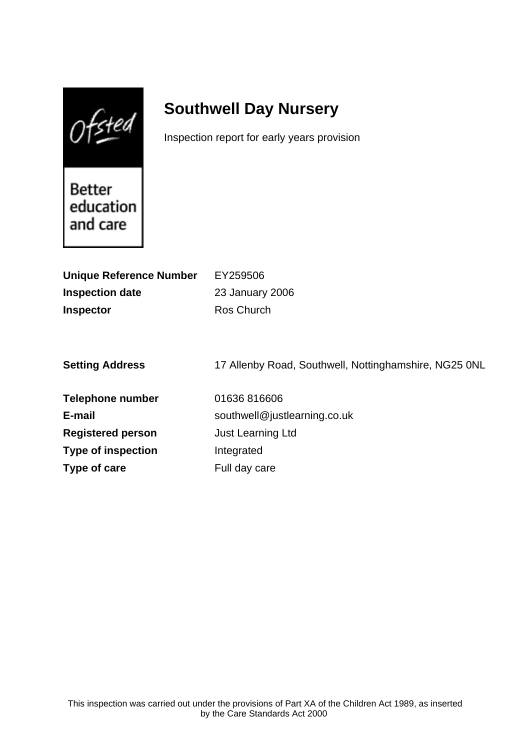$0$ fsted

# **Southwell Day Nursery**

Inspection report for early years provision

Better education and care

**Type of care** Full day care

| <b>Unique Reference Number</b><br><b>Inspection date</b><br><b>Inspector</b> | EY259506<br>23 January 2006<br>Ros Church             |
|------------------------------------------------------------------------------|-------------------------------------------------------|
| <b>Setting Address</b>                                                       | 17 Allenby Road, Southwell, Nottinghamshire, NG25 0NL |
| Telephone number                                                             | 01636816606                                           |
| E-mail                                                                       | southwell@justlearning.co.uk                          |
| <b>Registered person</b>                                                     | <b>Just Learning Ltd</b>                              |
| <b>Type of inspection</b>                                                    | Integrated                                            |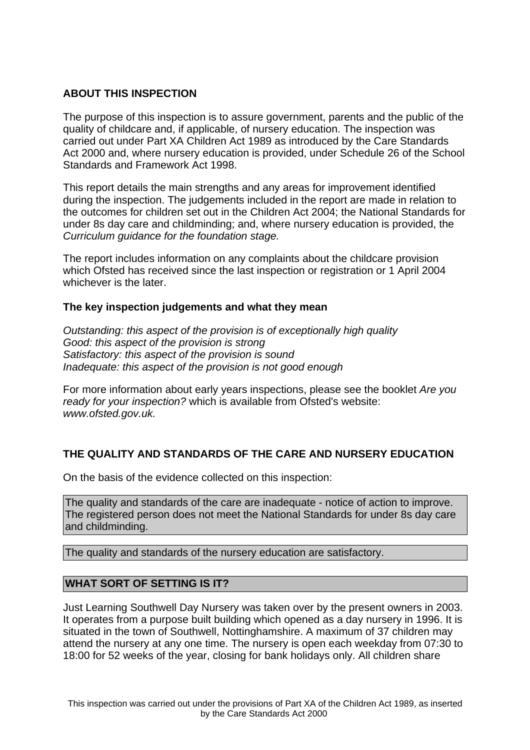# **ABOUT THIS INSPECTION**

The purpose of this inspection is to assure government, parents and the public of the quality of childcare and, if applicable, of nursery education. The inspection was carried out under Part XA Children Act 1989 as introduced by the Care Standards Act 2000 and, where nursery education is provided, under Schedule 26 of the School Standards and Framework Act 1998.

This report details the main strengths and any areas for improvement identified during the inspection. The judgements included in the report are made in relation to the outcomes for children set out in the Children Act 2004; the National Standards for under 8s day care and childminding; and, where nursery education is provided, the Curriculum guidance for the foundation stage.

The report includes information on any complaints about the childcare provision which Ofsted has received since the last inspection or registration or 1 April 2004 whichever is the later.

# **The key inspection judgements and what they mean**

Outstanding: this aspect of the provision is of exceptionally high quality Good: this aspect of the provision is strong Satisfactory: this aspect of the provision is sound Inadequate: this aspect of the provision is not good enough

For more information about early years inspections, please see the booklet Are you ready for your inspection? which is available from Ofsted's website: www.ofsted.gov.uk.

# **THE QUALITY AND STANDARDS OF THE CARE AND NURSERY EDUCATION**

On the basis of the evidence collected on this inspection:

The quality and standards of the care are inadequate - notice of action to improve. The registered person does not meet the National Standards for under 8s day care and childminding.

The quality and standards of the nursery education are satisfactory.

# **WHAT SORT OF SETTING IS IT?**

Just Learning Southwell Day Nursery was taken over by the present owners in 2003. It operates from a purpose built building which opened as a day nursery in 1996. It is situated in the town of Southwell, Nottinghamshire. A maximum of 37 children may attend the nursery at any one time. The nursery is open each weekday from 07:30 to 18:00 for 52 weeks of the year, closing for bank holidays only. All children share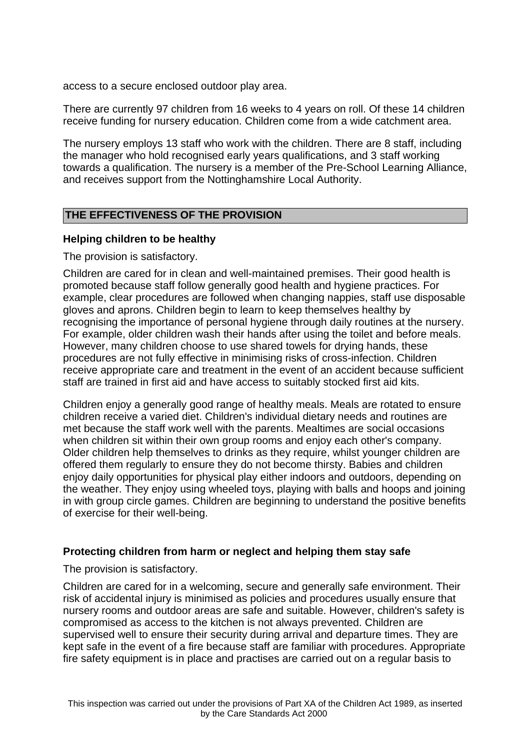access to a secure enclosed outdoor play area.

There are currently 97 children from 16 weeks to 4 years on roll. Of these 14 children receive funding for nursery education. Children come from a wide catchment area.

The nursery employs 13 staff who work with the children. There are 8 staff, including the manager who hold recognised early years qualifications, and 3 staff working towards a qualification. The nursery is a member of the Pre-School Learning Alliance, and receives support from the Nottinghamshire Local Authority.

# **THE EFFECTIVENESS OF THE PROVISION**

# **Helping children to be healthy**

The provision is satisfactory.

Children are cared for in clean and well-maintained premises. Their good health is promoted because staff follow generally good health and hygiene practices. For example, clear procedures are followed when changing nappies, staff use disposable gloves and aprons. Children begin to learn to keep themselves healthy by recognising the importance of personal hygiene through daily routines at the nursery. For example, older children wash their hands after using the toilet and before meals. However, many children choose to use shared towels for drying hands, these procedures are not fully effective in minimising risks of cross-infection. Children receive appropriate care and treatment in the event of an accident because sufficient staff are trained in first aid and have access to suitably stocked first aid kits.

Children enjoy a generally good range of healthy meals. Meals are rotated to ensure children receive a varied diet. Children's individual dietary needs and routines are met because the staff work well with the parents. Mealtimes are social occasions when children sit within their own group rooms and enjoy each other's company. Older children help themselves to drinks as they require, whilst younger children are offered them regularly to ensure they do not become thirsty. Babies and children enjoy daily opportunities for physical play either indoors and outdoors, depending on the weather. They enjoy using wheeled toys, playing with balls and hoops and joining in with group circle games. Children are beginning to understand the positive benefits of exercise for their well-being.

# **Protecting children from harm or neglect and helping them stay safe**

The provision is satisfactory.

Children are cared for in a welcoming, secure and generally safe environment. Their risk of accidental injury is minimised as policies and procedures usually ensure that nursery rooms and outdoor areas are safe and suitable. However, children's safety is compromised as access to the kitchen is not always prevented. Children are supervised well to ensure their security during arrival and departure times. They are kept safe in the event of a fire because staff are familiar with procedures. Appropriate fire safety equipment is in place and practises are carried out on a regular basis to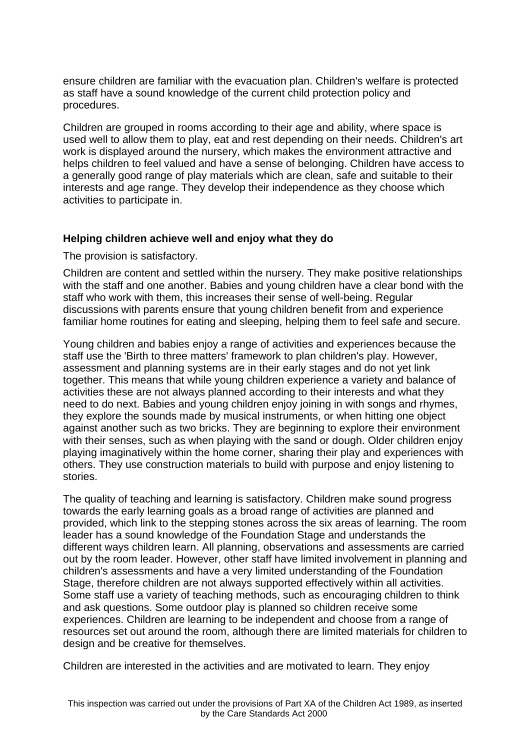ensure children are familiar with the evacuation plan. Children's welfare is protected as staff have a sound knowledge of the current child protection policy and procedures.

Children are grouped in rooms according to their age and ability, where space is used well to allow them to play, eat and rest depending on their needs. Children's art work is displayed around the nursery, which makes the environment attractive and helps children to feel valued and have a sense of belonging. Children have access to a generally good range of play materials which are clean, safe and suitable to their interests and age range. They develop their independence as they choose which activities to participate in.

#### **Helping children achieve well and enjoy what they do**

The provision is satisfactory.

Children are content and settled within the nursery. They make positive relationships with the staff and one another. Babies and young children have a clear bond with the staff who work with them, this increases their sense of well-being. Regular discussions with parents ensure that young children benefit from and experience familiar home routines for eating and sleeping, helping them to feel safe and secure.

Young children and babies enjoy a range of activities and experiences because the staff use the 'Birth to three matters' framework to plan children's play. However, assessment and planning systems are in their early stages and do not yet link together. This means that while young children experience a variety and balance of activities these are not always planned according to their interests and what they need to do next. Babies and young children enjoy joining in with songs and rhymes, they explore the sounds made by musical instruments, or when hitting one object against another such as two bricks. They are beginning to explore their environment with their senses, such as when playing with the sand or dough. Older children enjoy playing imaginatively within the home corner, sharing their play and experiences with others. They use construction materials to build with purpose and enjoy listening to stories.

The quality of teaching and learning is satisfactory. Children make sound progress towards the early learning goals as a broad range of activities are planned and provided, which link to the stepping stones across the six areas of learning. The room leader has a sound knowledge of the Foundation Stage and understands the different ways children learn. All planning, observations and assessments are carried out by the room leader. However, other staff have limited involvement in planning and children's assessments and have a very limited understanding of the Foundation Stage, therefore children are not always supported effectively within all activities. Some staff use a variety of teaching methods, such as encouraging children to think and ask questions. Some outdoor play is planned so children receive some experiences. Children are learning to be independent and choose from a range of resources set out around the room, although there are limited materials for children to design and be creative for themselves.

Children are interested in the activities and are motivated to learn. They enjoy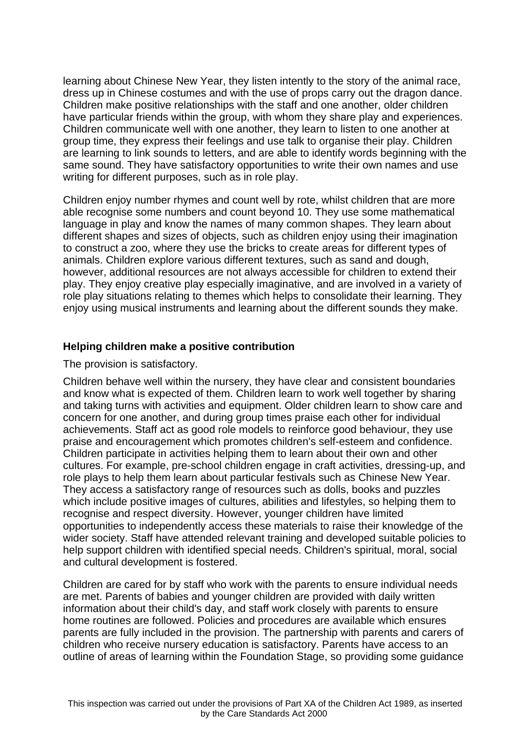learning about Chinese New Year, they listen intently to the story of the animal race, dress up in Chinese costumes and with the use of props carry out the dragon dance. Children make positive relationships with the staff and one another, older children have particular friends within the group, with whom they share play and experiences. Children communicate well with one another, they learn to listen to one another at group time, they express their feelings and use talk to organise their play. Children are learning to link sounds to letters, and are able to identify words beginning with the same sound. They have satisfactory opportunities to write their own names and use writing for different purposes, such as in role play.

Children enjoy number rhymes and count well by rote, whilst children that are more able recognise some numbers and count beyond 10. They use some mathematical language in play and know the names of many common shapes. They learn about different shapes and sizes of objects, such as children enjoy using their imagination to construct a zoo, where they use the bricks to create areas for different types of animals. Children explore various different textures, such as sand and dough, however, additional resources are not always accessible for children to extend their play. They enjoy creative play especially imaginative, and are involved in a variety of role play situations relating to themes which helps to consolidate their learning. They enjoy using musical instruments and learning about the different sounds they make.

# **Helping children make a positive contribution**

The provision is satisfactory.

Children behave well within the nursery, they have clear and consistent boundaries and know what is expected of them. Children learn to work well together by sharing and taking turns with activities and equipment. Older children learn to show care and concern for one another, and during group times praise each other for individual achievements. Staff act as good role models to reinforce good behaviour, they use praise and encouragement which promotes children's self-esteem and confidence. Children participate in activities helping them to learn about their own and other cultures. For example, pre-school children engage in craft activities, dressing-up, and role plays to help them learn about particular festivals such as Chinese New Year. They access a satisfactory range of resources such as dolls, books and puzzles which include positive images of cultures, abilities and lifestyles, so helping them to recognise and respect diversity. However, younger children have limited opportunities to independently access these materials to raise their knowledge of the wider society. Staff have attended relevant training and developed suitable policies to help support children with identified special needs. Children's spiritual, moral, social and cultural development is fostered.

Children are cared for by staff who work with the parents to ensure individual needs are met. Parents of babies and younger children are provided with daily written information about their child's day, and staff work closely with parents to ensure home routines are followed. Policies and procedures are available which ensures parents are fully included in the provision. The partnership with parents and carers of children who receive nursery education is satisfactory. Parents have access to an outline of areas of learning within the Foundation Stage, so providing some guidance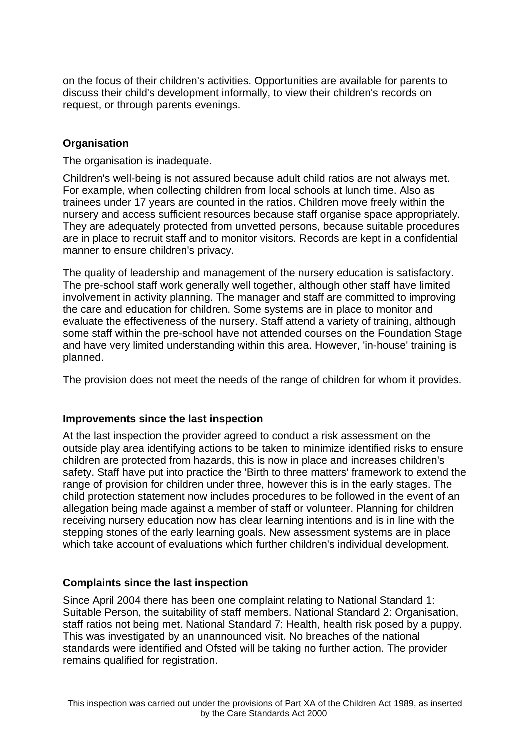on the focus of their children's activities. Opportunities are available for parents to discuss their child's development informally, to view their children's records on request, or through parents evenings.

# **Organisation**

The organisation is inadequate.

Children's well-being is not assured because adult child ratios are not always met. For example, when collecting children from local schools at lunch time. Also as trainees under 17 years are counted in the ratios. Children move freely within the nursery and access sufficient resources because staff organise space appropriately. They are adequately protected from unvetted persons, because suitable procedures are in place to recruit staff and to monitor visitors. Records are kept in a confidential manner to ensure children's privacy.

The quality of leadership and management of the nursery education is satisfactory. The pre-school staff work generally well together, although other staff have limited involvement in activity planning. The manager and staff are committed to improving the care and education for children. Some systems are in place to monitor and evaluate the effectiveness of the nursery. Staff attend a variety of training, although some staff within the pre-school have not attended courses on the Foundation Stage and have very limited understanding within this area. However, 'in-house' training is planned.

The provision does not meet the needs of the range of children for whom it provides.

#### **Improvements since the last inspection**

At the last inspection the provider agreed to conduct a risk assessment on the outside play area identifying actions to be taken to minimize identified risks to ensure children are protected from hazards, this is now in place and increases children's safety. Staff have put into practice the 'Birth to three matters' framework to extend the range of provision for children under three, however this is in the early stages. The child protection statement now includes procedures to be followed in the event of an allegation being made against a member of staff or volunteer. Planning for children receiving nursery education now has clear learning intentions and is in line with the stepping stones of the early learning goals. New assessment systems are in place which take account of evaluations which further children's individual development.

# **Complaints since the last inspection**

Since April 2004 there has been one complaint relating to National Standard 1: Suitable Person, the suitability of staff members. National Standard 2: Organisation, staff ratios not being met. National Standard 7: Health, health risk posed by a puppy. This was investigated by an unannounced visit. No breaches of the national standards were identified and Ofsted will be taking no further action. The provider remains qualified for registration.